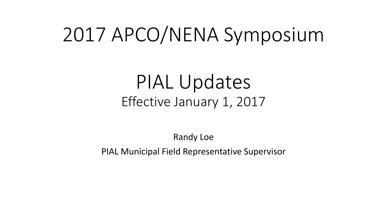## 2017 APCO/NENA Symposium

#### PIAL Updates Effective January 1, 2017

Randy Loe PIAL Municipal Field Representative Supervisor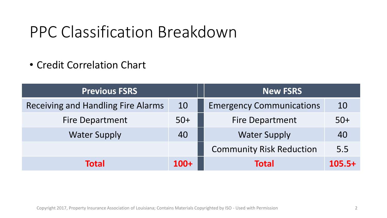#### PPC Classification Breakdown

• Credit Correlation Chart

| <b>Previous FSRS</b>                      |        | <b>New FSRS</b>                 |          |
|-------------------------------------------|--------|---------------------------------|----------|
| <b>Receiving and Handling Fire Alarms</b> | 10     | <b>Emergency Communications</b> | 10       |
| <b>Fire Department</b>                    | $50+$  | <b>Fire Department</b>          | $50+$    |
| <b>Water Supply</b>                       | 40     | <b>Water Supply</b>             | 40       |
|                                           |        | <b>Community Risk Reduction</b> | 5.5      |
| <b>Total</b>                              | $100+$ | <b>Total</b>                    | $105.5+$ |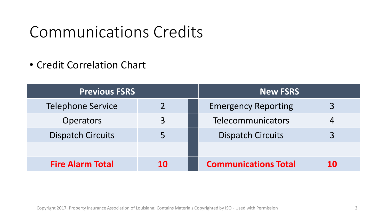#### Communications Credits

• Credit Correlation Chart

| <b>Previous FSRS</b>     |    | <b>New FSRS</b>             |    |
|--------------------------|----|-----------------------------|----|
| <b>Telephone Service</b> |    | <b>Emergency Reporting</b>  |    |
| <b>Operators</b>         | 3  | Telecommunicators           |    |
| <b>Dispatch Circuits</b> |    | <b>Dispatch Circuits</b>    |    |
|                          |    |                             |    |
| <b>Fire Alarm Total</b>  | 10 | <b>Communications Total</b> | 10 |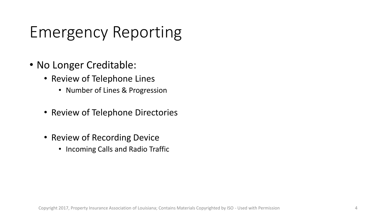### Emergency Reporting

- No Longer Creditable:
	- Review of Telephone Lines
		- Number of Lines & Progression
	- Review of Telephone Directories
	- Review of Recording Device
		- Incoming Calls and Radio Traffic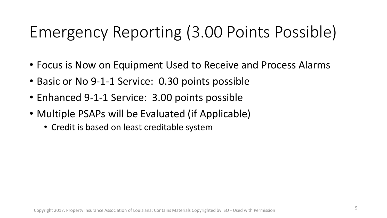### Emergency Reporting (3.00 Points Possible)

- Focus is Now on Equipment Used to Receive and Process Alarms
- Basic or No 9-1-1 Service: 0.30 points possible
- Enhanced 9-1-1 Service: 3.00 points possible
- Multiple PSAPs will be Evaluated (if Applicable)
	- Credit is based on least creditable system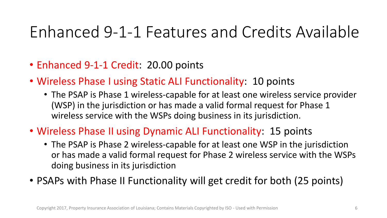- Enhanced 9-1-1 Credit: 20.00 points
- Wireless Phase I using Static ALI Functionality: 10 points
	- The PSAP is Phase 1 wireless-capable for at least one wireless service provider (WSP) in the jurisdiction or has made a valid formal request for Phase 1 wireless service with the WSPs doing business in its jurisdiction.
- Wireless Phase II using Dynamic ALI Functionality: 15 points
	- The PSAP is Phase 2 wireless-capable for at least one WSP in the jurisdiction or has made a valid formal request for Phase 2 wireless service with the WSPs doing business in its jurisdiction
- PSAPs with Phase II Functionality will get credit for both (25 points)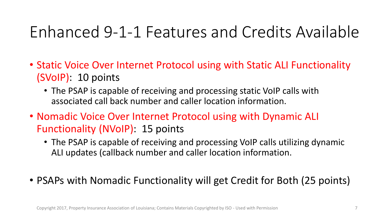- Static Voice Over Internet Protocol using with Static ALI Functionality (SVoIP): 10 points
	- The PSAP is capable of receiving and processing static VoIP calls with associated call back number and caller location information.
- Nomadic Voice Over Internet Protocol using with Dynamic ALI Functionality (NVoIP): 15 points
	- The PSAP is capable of receiving and processing VoIP calls utilizing dynamic ALI updates (callback number and caller location information.
- PSAPs with Nomadic Functionality will get Credit for Both (25 points)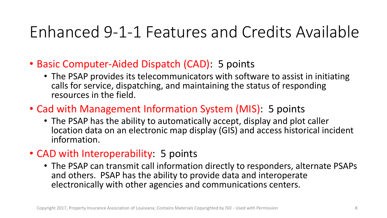- Basic Computer-Aided Dispatch (CAD): 5 points
	- The PSAP provides its telecommunicators with software to assist in initiating calls for service, dispatching, and maintaining the status of responding resources in the field.
- Cad with Management Information System (MIS): 5 points
	- The PSAP has the ability to automatically accept, display and plot caller location data on an electronic map display (GIS) and access historical incident information.
- CAD with Interoperability: 5 points
	- The PSAP can transmit call information directly to responders, alternate PSAPs and others. PSAP has the ability to provide data and interoperate electronically with other agencies and communications centers.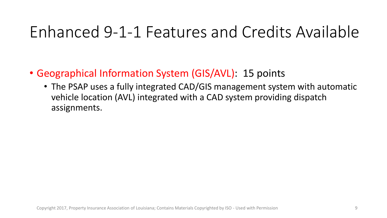- Geographical Information System (GIS/AVL): 15 points
	- The PSAP uses a fully integrated CAD/GIS management system with automatic vehicle location (AVL) integrated with a CAD system providing dispatch assignments.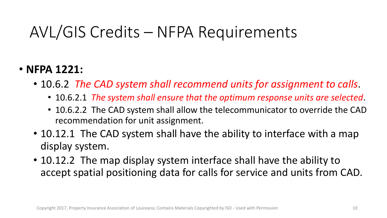#### AVL/GIS Credits – NFPA Requirements

#### • **NFPA 1221:**

- 10.6.2 *The CAD system shall recommend units for assignment to calls*.
	- 10.6.2.1 *The system shall ensure that the optimum response units are selected*.
	- 10.6.2.2 The CAD system shall allow the telecommunicator to override the CAD recommendation for unit assignment.
- 10.12.1 The CAD system shall have the ability to interface with a map display system.
- 10.12.2 The map display system interface shall have the ability to accept spatial positioning data for calls for service and units from CAD.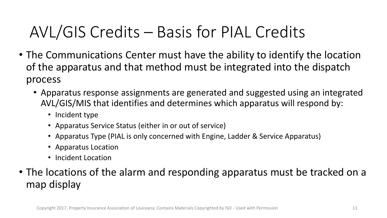#### AVL/GIS Credits – Basis for PIAL Credits

- The Communications Center must have the ability to identify the location of the apparatus and that method must be integrated into the dispatch process
	- Apparatus response assignments are generated and suggested using an integrated AVL/GIS/MIS that identifies and determines which apparatus will respond by:
		- Incident type
		- Apparatus Service Status (either in or out of service)
		- Apparatus Type (PIAL is only concerned with Engine, Ladder & Service Apparatus)
		- Apparatus Location
		- Incident Location
- The locations of the alarm and responding apparatus must be tracked on a map display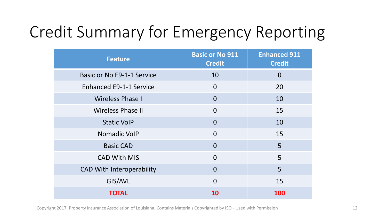### Credit Summary for Emergency Reporting

| <b>Feature</b>                   | <b>Basic or No 911</b><br><b>Credit</b> | <b>Enhanced 911</b><br><b>Credit</b> |
|----------------------------------|-----------------------------------------|--------------------------------------|
| Basic or No E9-1-1 Service       | 10                                      | $\overline{0}$                       |
| <b>Enhanced E9-1-1 Service</b>   | $\overline{0}$                          | 20                                   |
| <b>Wireless Phase I</b>          | $\overline{0}$                          | 10                                   |
| <b>Wireless Phase II</b>         | $\overline{0}$                          | 15                                   |
| <b>Static VoIP</b>               | $\overline{0}$                          | 10                                   |
| Nomadic VolP                     | $\overline{0}$                          | 15                                   |
| <b>Basic CAD</b>                 | $\overline{0}$                          | 5                                    |
| <b>CAD With MIS</b>              | $\Omega$                                | 5                                    |
| <b>CAD With Interoperability</b> | $\Omega$                                | 5                                    |
| GIS/AVL                          | $\Omega$                                | 15                                   |
| <b>TOTAL</b>                     | 10                                      | 100                                  |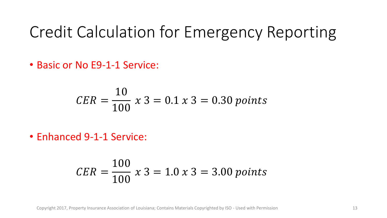#### Credit Calculation for Emergency Reporting

• Basic or No E9-1-1 Service:

$$
CER = \frac{10}{100} x 3 = 0.1 x 3 = 0.30 \text{ points}
$$

• Enhanced 9-1-1 Service:

$$
CER = \frac{100}{100} \times 3 = 1.0 \times 3 = 3.00 \text{ points}
$$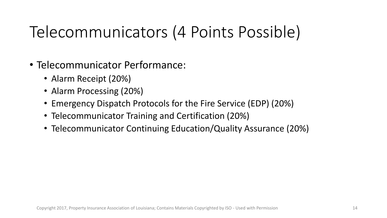#### Telecommunicators (4 Points Possible)

- Telecommunicator Performance:
	- Alarm Receipt (20%)
	- Alarm Processing (20%)
	- Emergency Dispatch Protocols for the Fire Service (EDP) (20%)
	- Telecommunicator Training and Certification (20%)
	- Telecommunicator Continuing Education/Quality Assurance (20%)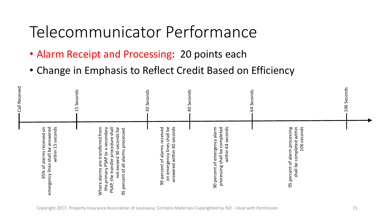#### Telecommunicator Performance

- Alarm Receipt and Processing: 20 points each
- Change in Emphasis to Reflect Credit Based on Efficiency

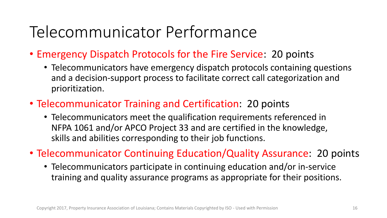#### Telecommunicator Performance

- Emergency Dispatch Protocols for the Fire Service: 20 points
	- Telecommunicators have emergency dispatch protocols containing questions and a decision-support process to facilitate correct call categorization and prioritization.
- Telecommunicator Training and Certification: 20 points
	- Telecommunicators meet the qualification requirements referenced in NFPA 1061 and/or APCO Project 33 and are certified in the knowledge, skills and abilities corresponding to their job functions.

• Telecommunicator Continuing Education/Quality Assurance: 20 points

• Telecommunicators participate in continuing education and/or in-service training and quality assurance programs as appropriate for their positions.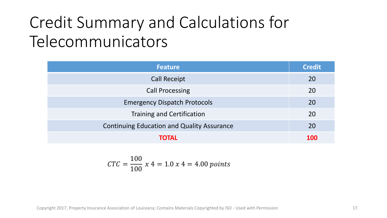#### Credit Summary and Calculations for Telecommunicators

| <b>Feature</b>                                    | <b>Credit</b> |
|---------------------------------------------------|---------------|
| <b>Call Receipt</b>                               | 20            |
| <b>Call Processing</b>                            | 20            |
| <b>Emergency Dispatch Protocols</b>               | 20            |
| <b>Training and Certification</b>                 | 20            |
| <b>Continuing Education and Quality Assurance</b> | 20            |
| TOTAL                                             | <b>100</b>    |

$$
CTC = \frac{100}{100} x 4 = 1.0 x 4 = 4.00 points
$$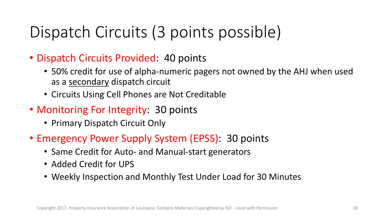#### Dispatch Circuits (3 points possible)

- Dispatch Circuits Provided: 40 points
	- 50% credit for use of alpha-numeric pagers not owned by the AHJ when used as a secondary dispatch circuit
	- Circuits Using Cell Phones are Not Creditable
- Monitoring For Integrity: 30 points
	- Primary Dispatch Circuit Only
- Emergency Power Supply System (EPSS): 30 points
	- Same Credit for Auto- and Manual-start generators
	- Added Credit for UPS
	- Weekly Inspection and Monthly Test Under Load for 30 Minutes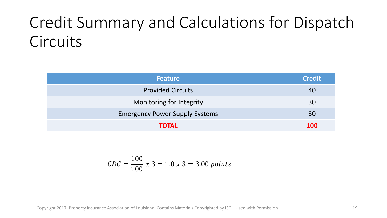#### Credit Summary and Calculations for Dispatch **Circuits**

| <b>Feature</b>                        | <b>Credit</b> |
|---------------------------------------|---------------|
| <b>Provided Circuits</b>              | 40            |
| Monitoring for Integrity              | 30            |
| <b>Emergency Power Supply Systems</b> | 30            |
| <b>TOTAL</b>                          | <b>100</b>    |

$$
CDC = \frac{100}{100} x 3 = 1.0 x 3 = 3.00 points
$$

Copyright 2017, Property Insurance Association of Louisiana; Contains Materials Copyrighted by ISO - Used with Permission 19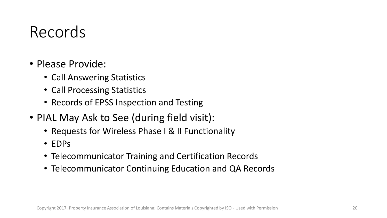#### Records

- Please Provide:
	- Call Answering Statistics
	- Call Processing Statistics
	- Records of EPSS Inspection and Testing
- PIAL May Ask to See (during field visit):
	- Requests for Wireless Phase I & II Functionality
	- EDPs
	- Telecommunicator Training and Certification Records
	- Telecommunicator Continuing Education and QA Records